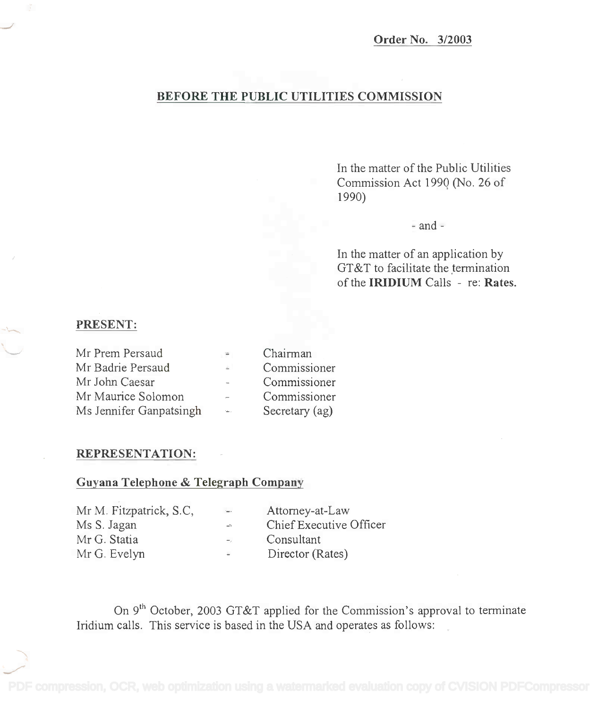## BEFORE THE PUBLIC UTILITIES COMMISSION

In the matter of the Public Utilities **In** the matter of the Public Utilities Commission Act 1990 (No. 26 of Commission Act 199Q (No. 26 of 1990) 1990)

 $-$ and $-$ 

In the matter of an application by **In** the matter of an application by GT&T to facilitate the termination of the IRIDIUM Calls re: Rates. of the **IRIDIUM** Calls - re: **Rates.**

## PRESENT:

| Mr Prem Persaud         | $\cong$            | Chairman       |  |
|-------------------------|--------------------|----------------|--|
| Mr Badrie Persaud       | $=$                | Commissioner   |  |
| Mr John Caesar          | $\sim$             | Commissioner   |  |
| Mr Maurice Solomon      | $\overline{a}$     | Commissioner   |  |
| Ms Jennifer Ganpatsingh | $\Delta_{\rm max}$ | Secretary (ag) |  |

## REPRESENTATION:

## Guyana Telephone & Telegraph Company

|              | Mr M. Fitzpatrick, S.C. | $\sim$         | Attorney-at-Law         |
|--------------|-------------------------|----------------|-------------------------|
| Ms S. Jagan  |                         | $\rightarrow$  | Chief Executive Officer |
| Mr G. Statia |                         | $-$            | Consultant              |
| Mr G. Evelyn |                         | $\overline{a}$ | Director (Rates)        |

On 9<sup>th</sup> October, 2003 GT&T applied for the Commission's approval to terminate Iridium calls. This service is based in the USA and operates as follows: Iridium calls. This service is based in the USA and operates as follows: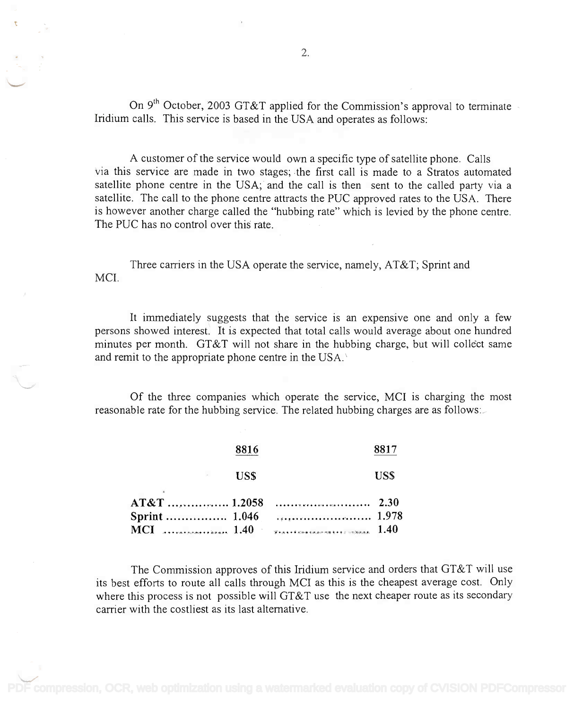On 9<sup>th</sup> October, 2003 GT&T applied for the Commission's approval to terminate Iridium calls. This service is based in the USA and operates as follows: Iridium calls. This service is based in the USA and operates as follows:

A customer of the service would own a specific type of satellite phone. Calls A customer of the service would own a specific type of satellite phone. Calls via this service are made in two stages; the first call is made to a Stratos automated satellite phone centre in the USA; and the call is then sent to the called party via a satellite. The call to the phone centre attracts the PUC approved rates to the USA. There satellite. The call to the phone centre attracts the PUC approved rates to the USA. There is however another charge called the "hubbing rate" which is levied by the phone centre. The PUC has no control over this rate. The PUC has no control over this rate.

Three carriers in the USA operate the service, namely, AT&T; Sprint and MCI.

It immediately suggests that the service is an expensive one and only a few It immediately suggests that the service is an expensive one and only a few persons showed interest. It is expected that total calls would average about one hundred persons showed interest. It is expected that total calls would average about one hundred minutes per month. GT&T will not share in the hubbing charge, but will collect same minutes per month. GT&T will not share in the hubbing charge, but will collect same and remit to the appropriate phone centre in the USA. $\backslash$ 

Of the three companies which operate the service, MCI is charging the most Of the three companies which operate the service, MCI is charging the most reasonable rate for the hubbing service. The related hubbing charges are as follows:

|            | 8816 |            |
|------------|------|------------|
| $\sigma$ . | US\$ | <b>USS</b> |
|            |      |            |
|            |      |            |
|            |      |            |

The Commission approves of this Iridium service and orders that GT&T will use The Commission approves of this Iridium service and orders that GT&T will use its best efforts to route all calls through MCI as this is the cheapest average cost. Only its best efforts to route all calls through MCI as this is the cheapest average cost. Only where this process is not possible will GT&T use the next cheaper route as its secondary where this process is not possible will GT&T use the next cheaper route as its secondary carrier with the costliest as its last alternative. carrier with the costliest as its last alternative.